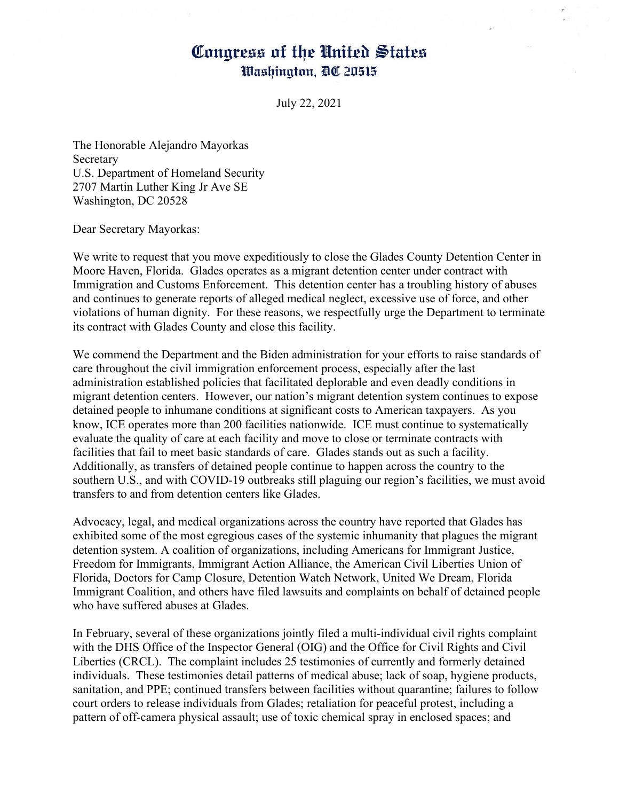## Congress of the United States Washington, DC 20515

July 22, 2021

The Honorable Alejandro Mayorkas Secretary U.S. Department of Homeland Security 2707 Martin Luther King Jr Ave SE Washington, DC 20528

Dear Secretary Mayorkas:

We write to request that you move expeditiously to close the Glades County Detention Center in Moore Haven, Florida. Glades operates as a migrant detention center under contract with Immigration and Customs Enforcement. This detention center has a troubling history of abuses and continues to generate reports of alleged medical neglect, excessive use of force, and other violations of human dignity. For these reasons, we respectfully urge the Department to terminate its contract with Glades County and close this facility.

We commend the Department and the Biden administration for your efforts to raise standards of care throughout the civil immigration enforcement process, especially after the last administration established policies that facilitated deplorable and even deadly conditions in migrant detention centers. However, our nation's migrant detention system continues to expose detained people to inhumane conditions at significant costs to American taxpayers. As you know, ICE operates more than 200 facilities nationwide. ICE must continue to systematically evaluate the quality of care at each facility and move to close or terminate contracts with facilities that fail to meet basic standards of care. Glades stands out as such a facility. Additionally, as transfers of detained people continue to happen across the country to the southern U.S., and with COVID-19 outbreaks still plaguing our region's facilities, we must avoid transfers to and from detention centers like Glades.

Advocacy, legal, and medical organizations across the country have reported that Glades has exhibited some of the most egregious cases of the systemic inhumanity that plagues the migrant detention system. A coalition of organizations, including Americans for Immigrant Justice, Freedom for Immigrants, Immigrant Action Alliance, the American Civil Liberties Union of Florida, Doctors for Camp Closure, Detention Watch Network, United We Dream, Florida Immigrant Coalition, and others have filed lawsuits and complaints on behalf of detained people who have suffered abuses at Glades.

In February, several of these organizations jointly filed a multi-individual civil rights complaint with the DHS Office of the Inspector General (OIG) and the Office for Civil Rights and Civil Liberties (CRCL). The complaint includes 25 testimonies of currently and formerly detained individuals. These testimonies detail patterns of medical abuse; lack of soap, hygiene products, sanitation, and PPE; continued transfers between facilities without quarantine; failures to follow court orders to release individuals from Glades; retaliation for peaceful protest, including a pattern of off-camera physical assault; use of toxic chemical spray in enclosed spaces; and